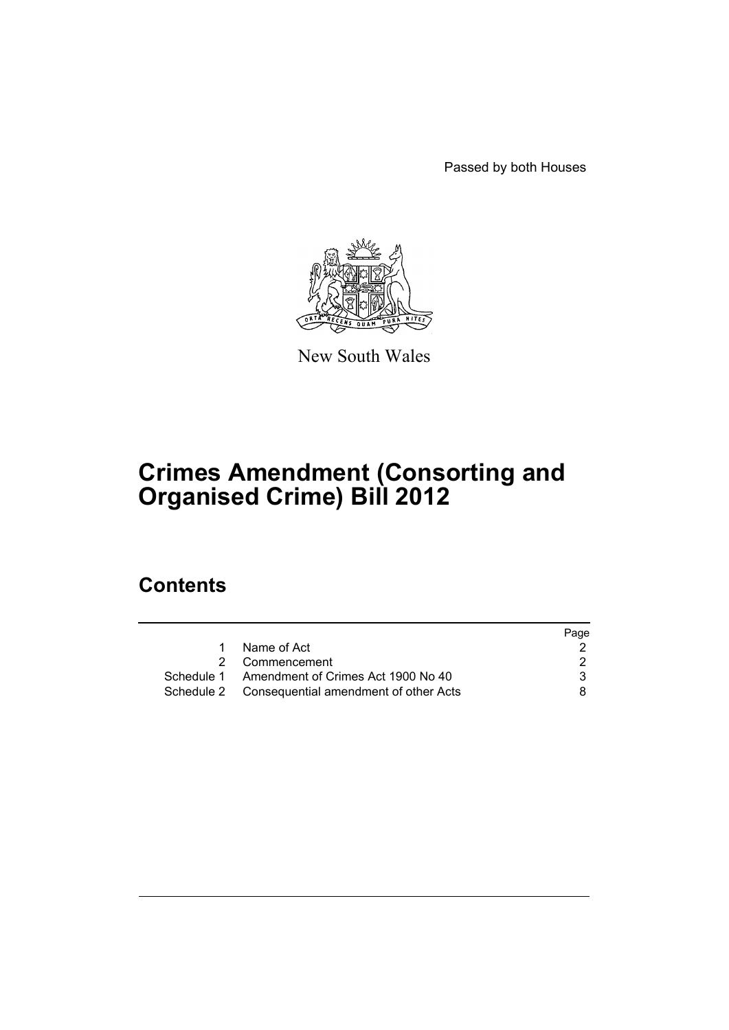Passed by both Houses



New South Wales

# **Crimes Amendment (Consorting and Organised Crime) Bill 2012**

# **Contents**

|                                                  | Page |
|--------------------------------------------------|------|
| Name of Act                                      |      |
| 2 Commencement                                   |      |
| Schedule 1 Amendment of Crimes Act 1900 No 40    | 3    |
| Schedule 2 Consequential amendment of other Acts | 8.   |
|                                                  |      |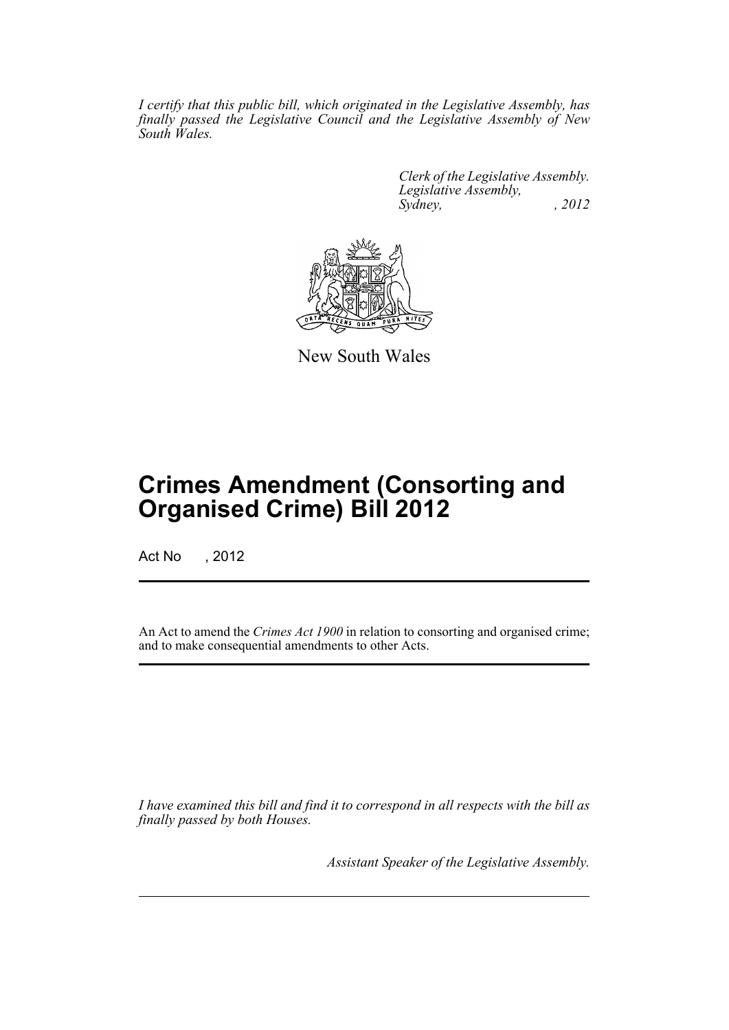*I certify that this public bill, which originated in the Legislative Assembly, has finally passed the Legislative Council and the Legislative Assembly of New South Wales.*

> *Clerk of the Legislative Assembly. Legislative Assembly, Sydney, , 2012*



New South Wales

# **Crimes Amendment (Consorting and Organised Crime) Bill 2012**

Act No , 2012

An Act to amend the *Crimes Act 1900* in relation to consorting and organised crime; and to make consequential amendments to other Acts.

*I have examined this bill and find it to correspond in all respects with the bill as finally passed by both Houses.*

*Assistant Speaker of the Legislative Assembly.*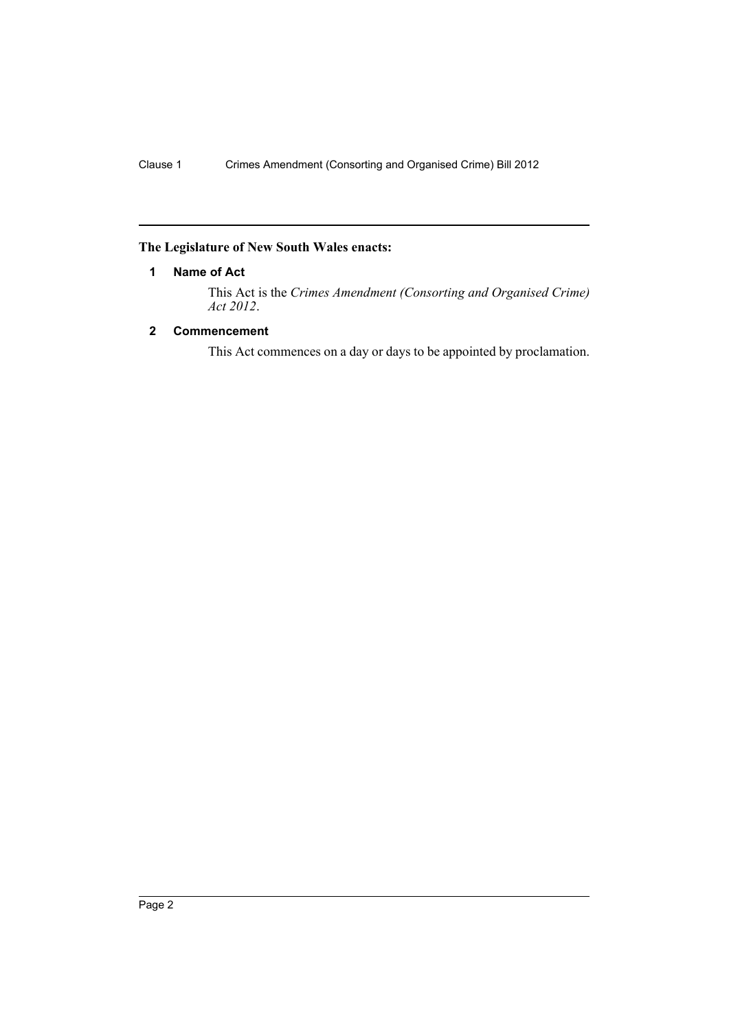## <span id="page-3-0"></span>**The Legislature of New South Wales enacts:**

## **1 Name of Act**

This Act is the *Crimes Amendment (Consorting and Organised Crime) Act 2012*.

## <span id="page-3-1"></span>**2 Commencement**

This Act commences on a day or days to be appointed by proclamation.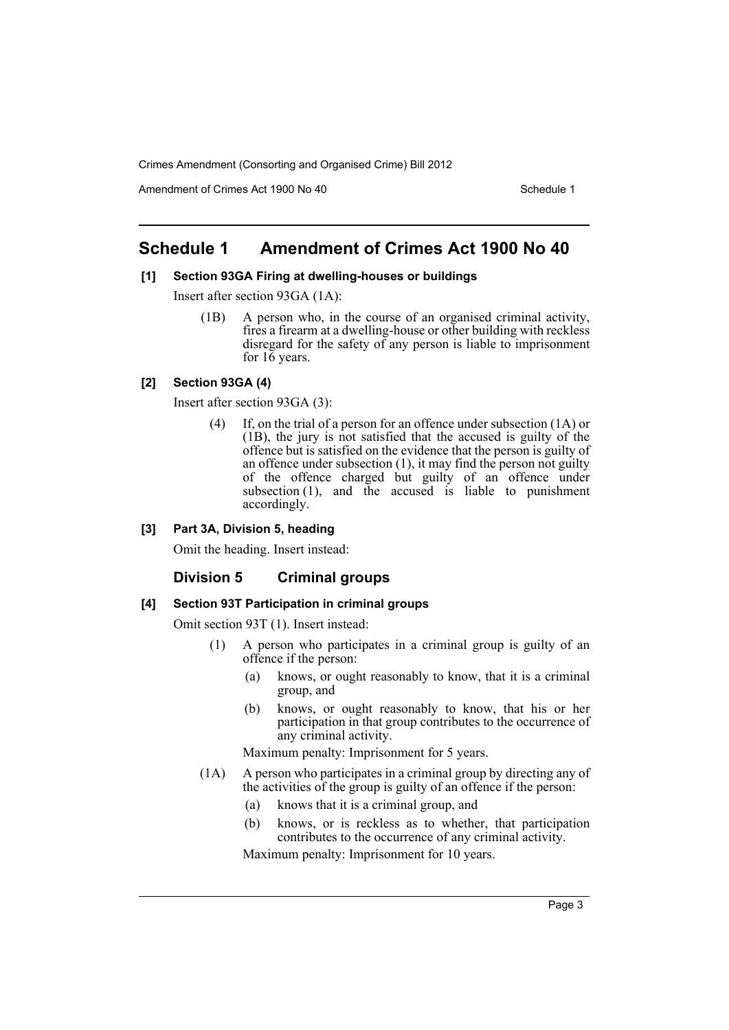Amendment of Crimes Act 1900 No 40 Schedule 1

## <span id="page-4-0"></span>**Schedule 1 Amendment of Crimes Act 1900 No 40**

### **[1] Section 93GA Firing at dwelling-houses or buildings**

Insert after section 93GA (1A):

(1B) A person who, in the course of an organised criminal activity, fires a firearm at a dwelling-house or other building with reckless disregard for the safety of any person is liable to imprisonment for  $16$  years.

## **[2] Section 93GA (4)**

Insert after section 93GA (3):

(4) If, on the trial of a person for an offence under subsection (1A) or  $(1B)$ , the jury is not satisfied that the accused is guilty of the offence but is satisfied on the evidence that the person is guilty of an offence under subsection (1), it may find the person not guilty of the offence charged but guilty of an offence under subsection (1), and the accused is liable to punishment accordingly.

#### **[3] Part 3A, Division 5, heading**

Omit the heading. Insert instead:

## **Division 5 Criminal groups**

#### **[4] Section 93T Participation in criminal groups**

Omit section 93T (1). Insert instead:

- (1) A person who participates in a criminal group is guilty of an offence if the person:
	- (a) knows, or ought reasonably to know, that it is a criminal group, and
	- (b) knows, or ought reasonably to know, that his or her participation in that group contributes to the occurrence of any criminal activity.

Maximum penalty: Imprisonment for 5 years.

- (1A) A person who participates in a criminal group by directing any of the activities of the group is guilty of an offence if the person:
	- (a) knows that it is a criminal group, and
	- (b) knows, or is reckless as to whether, that participation contributes to the occurrence of any criminal activity.

Maximum penalty: Imprisonment for 10 years.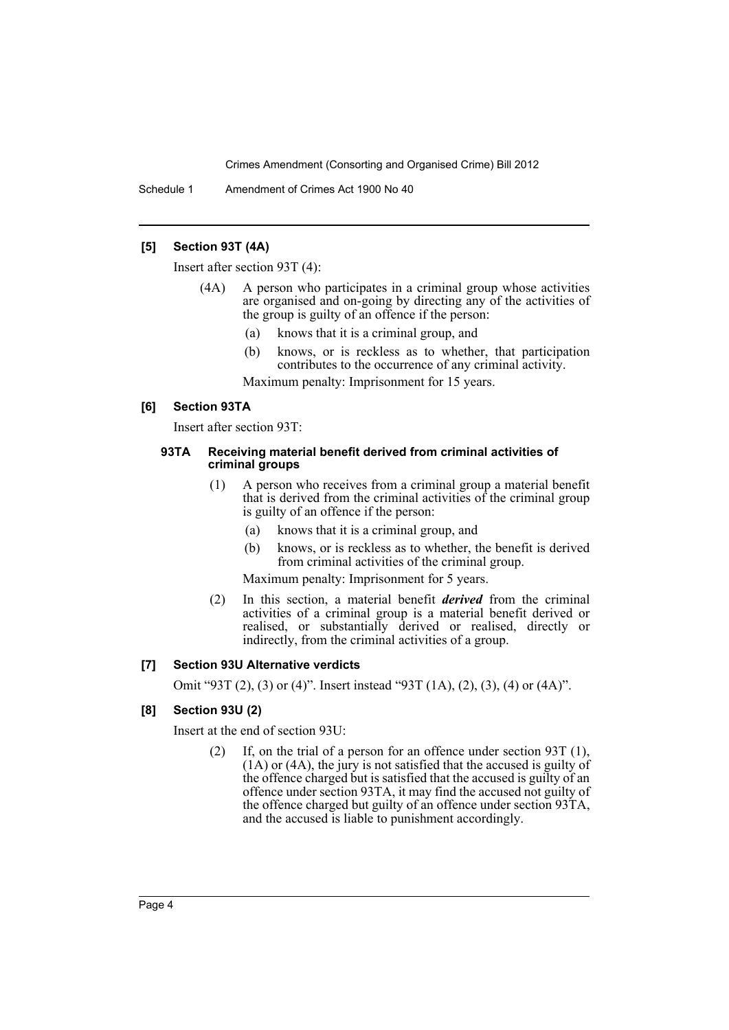Schedule 1 Amendment of Crimes Act 1900 No 40

### **[5] Section 93T (4A)**

Insert after section 93T (4):

- (4A) A person who participates in a criminal group whose activities are organised and on-going by directing any of the activities of the group is guilty of an offence if the person:
	- (a) knows that it is a criminal group, and
	- (b) knows, or is reckless as to whether, that participation contributes to the occurrence of any criminal activity.

Maximum penalty: Imprisonment for 15 years.

## **[6] Section 93TA**

Insert after section 93T:

#### **93TA Receiving material benefit derived from criminal activities of criminal groups**

- (1) A person who receives from a criminal group a material benefit that is derived from the criminal activities of the criminal group is guilty of an offence if the person:
	- (a) knows that it is a criminal group, and
	- (b) knows, or is reckless as to whether, the benefit is derived from criminal activities of the criminal group.

Maximum penalty: Imprisonment for 5 years.

(2) In this section, a material benefit *derived* from the criminal activities of a criminal group is a material benefit derived or realised, or substantially derived or realised, directly or indirectly, from the criminal activities of a group.

## **[7] Section 93U Alternative verdicts**

Omit "93T (2), (3) or (4)". Insert instead "93T (1A), (2), (3), (4) or (4A)".

## **[8] Section 93U (2)**

Insert at the end of section 93U:

(2) If, on the trial of a person for an offence under section 93T (1), (1A) or (4A), the jury is not satisfied that the accused is guilty of the offence charged but is satisfied that the accused is guilty of an offence under section 93TA, it may find the accused not guilty of the offence charged but guilty of an offence under section 93TA, and the accused is liable to punishment accordingly.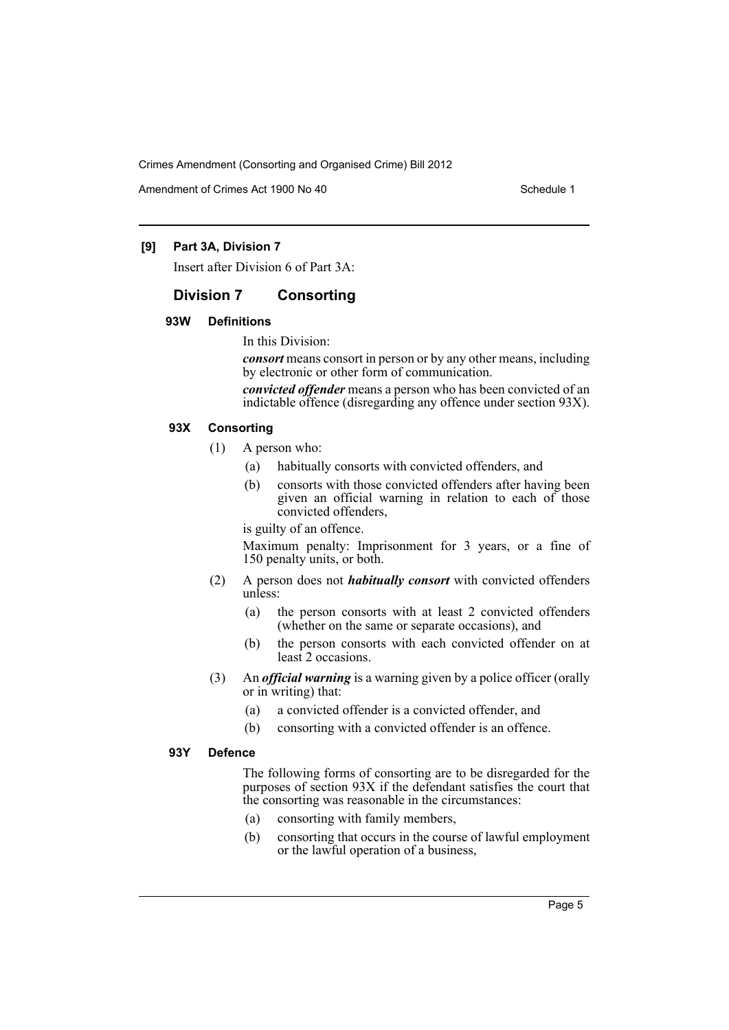Amendment of Crimes Act 1900 No 40 Schedule 1

### **[9] Part 3A, Division 7**

Insert after Division 6 of Part 3A:

## **Division 7 Consorting**

## **93W Definitions**

## In this Division:

*consort* means consort in person or by any other means, including by electronic or other form of communication.

*convicted offender* means a person who has been convicted of an indictable offence (disregarding any offence under section 93X).

#### **93X Consorting**

- (1) A person who:
	- (a) habitually consorts with convicted offenders, and
	- (b) consorts with those convicted offenders after having been given an official warning in relation to each of those convicted offenders,

#### is guilty of an offence.

Maximum penalty: Imprisonment for 3 years, or a fine of 150 penalty units, or both.

- (2) A person does not *habitually consort* with convicted offenders unless:
	- (a) the person consorts with at least 2 convicted offenders (whether on the same or separate occasions), and
	- (b) the person consorts with each convicted offender on at least 2 occasions.
- (3) An *official warning* is a warning given by a police officer (orally or in writing) that:
	- (a) a convicted offender is a convicted offender, and
	- (b) consorting with a convicted offender is an offence.

#### **93Y Defence**

The following forms of consorting are to be disregarded for the purposes of section 93X if the defendant satisfies the court that the consorting was reasonable in the circumstances:

- (a) consorting with family members,
- (b) consorting that occurs in the course of lawful employment or the lawful operation of a business,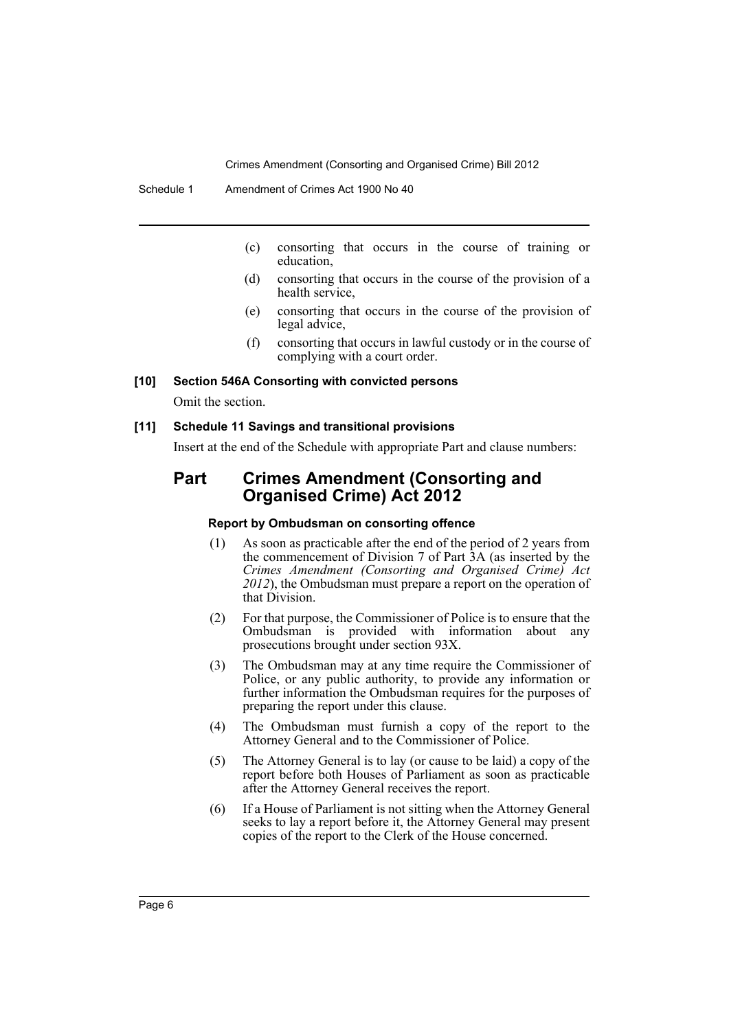- (c) consorting that occurs in the course of training or education,
- (d) consorting that occurs in the course of the provision of a health service,
- (e) consorting that occurs in the course of the provision of legal advice,
- (f) consorting that occurs in lawful custody or in the course of complying with a court order.

#### **[10] Section 546A Consorting with convicted persons**

Omit the section.

#### **[11] Schedule 11 Savings and transitional provisions**

Insert at the end of the Schedule with appropriate Part and clause numbers:

## **Part Crimes Amendment (Consorting and Organised Crime) Act 2012**

#### **Report by Ombudsman on consorting offence**

- (1) As soon as practicable after the end of the period of 2 years from the commencement of Division 7 of Part 3A (as inserted by the *Crimes Amendment (Consorting and Organised Crime) Act 2012*), the Ombudsman must prepare a report on the operation of that Division.
- (2) For that purpose, the Commissioner of Police is to ensure that the Ombudsman is provided with information about any prosecutions brought under section 93X.
- (3) The Ombudsman may at any time require the Commissioner of Police, or any public authority, to provide any information or further information the Ombudsman requires for the purposes of preparing the report under this clause.
- (4) The Ombudsman must furnish a copy of the report to the Attorney General and to the Commissioner of Police.
- (5) The Attorney General is to lay (or cause to be laid) a copy of the report before both Houses of Parliament as soon as practicable after the Attorney General receives the report.
- (6) If a House of Parliament is not sitting when the Attorney General seeks to lay a report before it, the Attorney General may present copies of the report to the Clerk of the House concerned.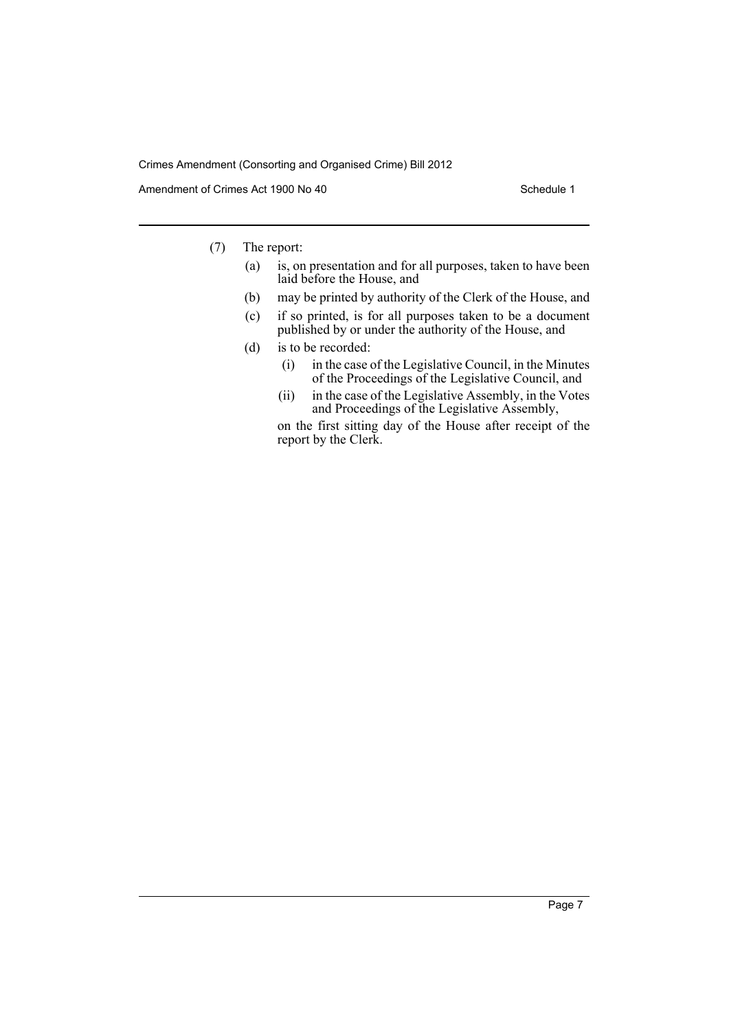Amendment of Crimes Act 1900 No 40 Schedule 1

- (7) The report:
	- (a) is, on presentation and for all purposes, taken to have been laid before the House, and
	- (b) may be printed by authority of the Clerk of the House, and
	- (c) if so printed, is for all purposes taken to be a document published by or under the authority of the House, and
	- (d) is to be recorded:
		- (i) in the case of the Legislative Council, in the Minutes of the Proceedings of the Legislative Council, and
		- (ii) in the case of the Legislative Assembly, in the Votes and Proceedings of the Legislative Assembly,

on the first sitting day of the House after receipt of the report by the Clerk.